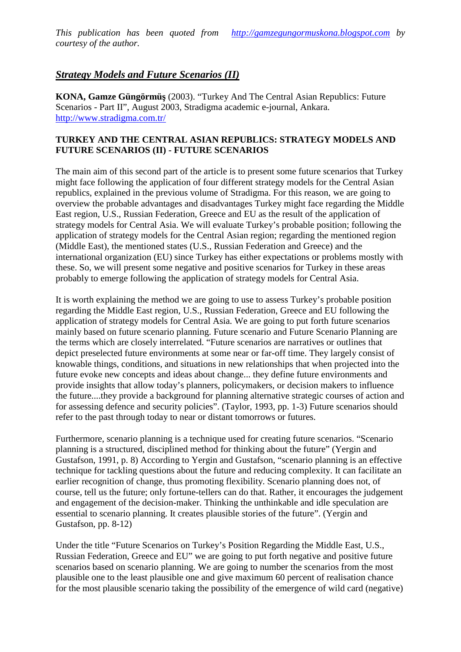# Strategy Models and Future Scenarios (II)

KONA, Gamze G€ng•rm€, (2003). €Turkey And The Central Asian Republics: Future Scenarios Part II•, August 2003, Stradiga academic pournal, Ankara. [http://www.stradigma.com.t](http://www.stradigma.com.tr/)r/

### TURKEY AND THE CENTRAL ASIAN REPUBLICS: STRATEGY MODELS AND FUTURE SCENARIOS (II) - FUTURE SCENARIOS

The main aim of this second part of the article present some future scenarios that Turkey might face following the application of four different strategy models for the Central Asian republics, explained in the previous volume of Stradigma. For this reason, we are going to overview the probable adntages and disadvantages Turkey might face regarding the Middle East region, U.S., Russian Federation, Greece and EU as the result of the application of strategy models for Central Asia. We will evaluate Turkey's probable position; following the application of strategy models for the Central Asian region; regarding the mentioned region (Middle East), the mentioned states (U.S., Russian Federation and Greece) and the international organization (EU) since Turkey has either expectations or problems mutstly wi these. So, we will present some negative and positive scenarios for Turkey in these areas probably to emerge following the application of strategy models for Central Asia.

It is worth explaining the method we are going to use to assess Turkey's probabilion regarding the Middle East region, U.S., Russian Federation, Greece and EU following the application of strategy models for Central Asia. We are going to put forth future scenarios mainly based on future scenario planning. Future scenario and Butenario Planning are the terms which are closely interrelated. €Future scenarios are narratives or outlines that depict preselected future environments at some near-off farme. They largely consist of knowable things, conditions, and situations i new relationships that when projected into the future evoke new concepts and ideas about change... they define future environments and provide insights that allow today, s planners, policymakers por a makers influence the future....they provide background for planning alternative strategic courses of action and for assessing defence and security policies•. (Taylor, 1993, \$) Future scenarios should refer to the past through today to near or distant tomorrows or futures.

Furthermore, sceniar planning is a technique used for creating future scenarios.  $\epsilon$ Scenario planning is a structured, disciplined method for thinking about the future• (Yergin and Gustafson, 1991, p. 8) According to Yergin and Gustafson, €scenario planning is an effective technique for tackling questions about the future and reducing complexity. It can facilitate an earlier recognition of change, thus promoting flexibility. Scenario planning does not, of course, tell us the future; only fortune lers can do that. Rather, entrourages the judgement and engagement of the decisionaker. Thinking the unthinkable and idle speculation are essential to scenario planning. It creates plausible stories of the future•. (Yergin and Gustafson, pp. -82)

Under the title  $\epsilon$ Future Scenarion Turkey, Position Regarding the Middle East, U.S., Russian Federation, Greece and EU• we are going to put forth negative and positive future scenarios based on scenario planning. We are going to number the scenarios from the most plausible one to the east plausible one and give maximum 60 percent of realisation chance for the most plausible scenario taking the possibility of the emergence of wild card (negative)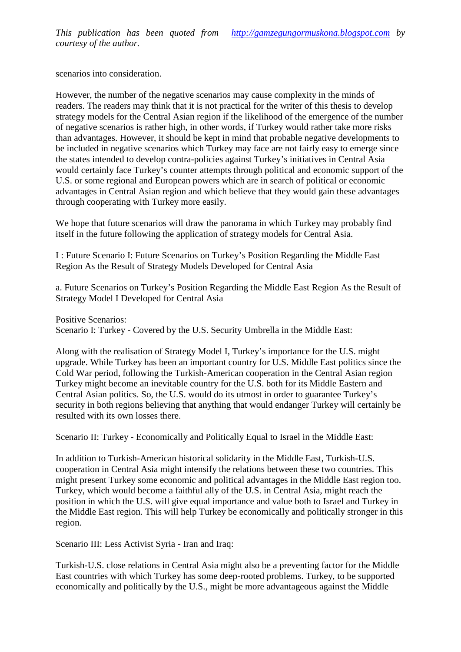scenarios into consideration.

However, the number of the negative scenarios may cause exity in the minds of readers. The readers may think that it is not practical for the writer of this thesis to develop strategy models for the Central Asian region if the lihood of the emergence of the number of negative scenarios is rather highother words, if Turkey would rather take more risks than advantages. However, it should be kept in mind that probable negative developments to be included in negative scenarios which Turkey may face are not fairly easy to emerge since the states intended develop contrapolicies against Turkey's initiatives in Central Asia would certainly face Turkey,s counter attempts through political and economic support of the U.S. or some regional and European powers which are in search of political or economic advantages in Central Asian region and which believe that they would gain these advantages through cooperating with Turkey more easily.

We hope that future scenarios will draw the panorama in which Turkey may probably find itself in the future following the polication of strategy models for Central Asia.

I: Future Scenario I: Future Scenarios on Turkey, a Position Regarding the Middle East Region As the Result of Strategy Models Developed for Central Asia

a. Future Scenarios on Turkey, a Position Regarding Middle East Region As the Result of Strategy Model I Developed for Central Asia

Positive Scenarios:

Scenario I: Turkey Covered by the U.S. Security Umbrella in the Middle East:

Along with the realisation of Strategy Model I, Turkey, importance for U.S. might upgrade. While Turkey has been an important country for U.S. Middle East politics since the Cold War period, following the TurkisAmerican cooperation in the Central Asian region Turkey might become an inevitable country for the U.S. both fits Middle Eastern and Central Asian politics. So, the U.S. would do its utmost in order to guarantee Turkey, s security in both regions believing that anything that would endanger Turkey will certainly be resulted with its own losses there.

Scenario II Turkey- Economically and Politically Equal to Israel in the Middle East:

In addition to Turkish-American historical solidarity in the Middle East, Turkish cooperation in Central Asia might intensify the relations between these two countries. This might present Turkey some economic and political advantages in the Middle East region too. Turkey, which would become faithful ally of the U.S. in Central Asia, might reach the position in which the U.S. will give equal importance and value both to lared Turkey in the Middle East region. This will help Turkey be economically and politically stronger in this region.

Scenario III: Less Activist Syrialran and Iraq:

Turkish-U.S. close relations in Central Asia might also be a preventing factore Middle East countries with which Turkey has some deeptedproblems Turkey, to be supported economically and politically by the U.S., might be more advantageous against the Middle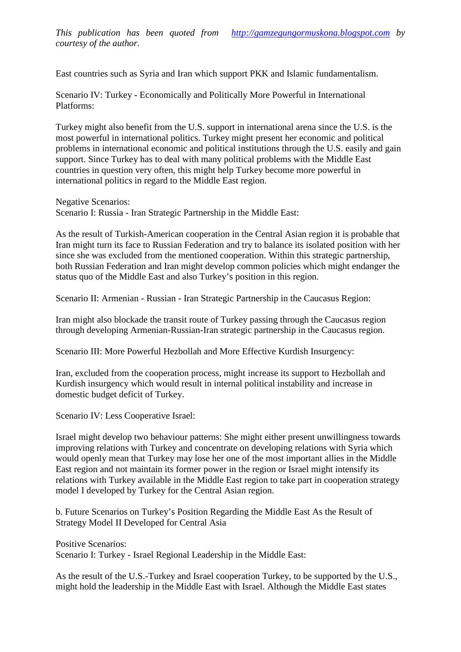East countries such as Syria drach which support PKK and Islamic redamentalism.

Scenario IV: Turkey Economically and Politically More Powerful in International Platforms:

Turkey might also benefit from the U.S. support in international arena since the U.S. is the most powerful in international politics. Turkey might present her economic and political problems in international economic and political institutions through the U.S. easily and gain support. Since Turkey has to deal with many political problems with the Middle East countries in question very often, this mighelp Turkey become more powerful in international politics in regard to the Middle East region.

Negative Scenarios:

Scenario I: Russialran Strategic Partnership in the Middle East:

As the result of Turkish-American cooperation in the Central Asian in the sprobable that Iran might turn its face to Russian Federation and try to balance its isolated position with her since she was excluded from the mentioned cooperation this strategic partnership, both Russian Federation and Iran might also common policies which might endanger the status quo of the Middle East and also Turkey, s position in this region.

Scenario II: Armenian Russian- Iran Strategic Partnership in the Caucasus Region:

Iran might also blockade the transit route of Key passing through the Caucasus region through developing ArmeniaRussian-Iran strategic partnership in the Caucasus region.

Scenario III: More Powerful Hezbollah and More Effective Kurdish Insurgency:

Iran, excluded from the cooperation process, might base its support to Hezbollah and Kurdish insurgency which would result in internal political instability and increase in domestic budget deficit of Turkey.

Scenario IV: Less Cooperative Israel:

Israel might develop two behaviour patterns: She meght present unwillingness towards improving relations with Turkey and concentrate on developing relations with Syria which would openly mean that Turkey may lose her one of the most important allies in the Middle East region and not maintain its former wer in the region or Israel might intensify its relations with Turkey available in the Middle East region to take part in cooperation strategy model I developed by Turkey for the Central Asian region.

b. Future Scenarios on Turkey, a Position Regardined Middle East As the Result of Strategy Model II Developed for Central Asia

Positive Scenarios:

Scenario I: Turkey Israel Regional Leadership in the Middle East:

As the result of the U.S. Lurkey and Israel cooperation Turkey, to be supported by  $t\mathbf{B}$ e U might hold the leadership in the Middle East with Israel. Although the Middle East states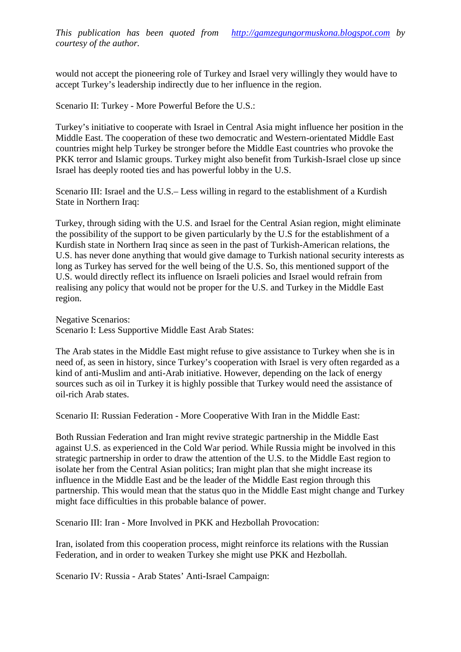would not accept the pioneering role of Turkey and Israel very willingly they would have to accept Turkey's leadership indirectly due to her influence in the reg

Scenario II: Turkey More Powerful Before the U.S.:

Turkey's initiative to cooperate with Israel in Central Asia might influence her position in the Middle East. The cooperation of these two democratic and Wexterntated Middle East countries might help Turkey be stronger before the Middle East countries who provoke the PKK terror and Islamic groups. Turkey might also benefit from Turkish close up since Israel has deeply rooted ties and has powerful lobby ib the

Scenario III: Israband the U.S. Less willing in regard to the establishment of a Kurdish State in Northern Iraq:

Turkey, through siding with the U.S. and Israel for the Central Asian region, might eliminate the possibility of the support to be given particularly by the tot the establishment fa Kurdish state in Northern Iraq since as seen in the past of Turking rican relations, the U.S. has never done anything that would give damage to Turkish national security interests as long as Turkey has served for the well https of the U.S. So, this mentioned support of the U.S. would directly reflect its influence on Israeli policies and Israel would refrain from realising any policy that would not be proper for the U.S. and Turkey in the Middle East region.

Negative Scenaris:

Scenario I: Less Supportive Middle East Arab States:

The Arab states in the Middle East might refuse to give assistance to Turkey when she is in need of, as seen in history, since Turkey, scooperation with Israel is very often regarded as a kind of anti-Muslim and antiArab initiative. However, depending on the lack of energy sources such as oil in Turkey it is highly possible that Turkey would need the assistance of oil-rich Arab states.

Scenario II: Russian FederatioMore Cooperative With Iran ithe Middle East:

Both Russian Federation and Iran might revatredic arthership in the Middle East against U.S. as experienced in the Cold War period. While Russia might be involved in this strategic partnership in order to draw the attention out the u.s. the Middle East region to isolate her from the Central Asian politics; Iran might plan that she might increase its influence in the Middle East and be the leader of the Middle East region through this partnership. This would mean that the statures in the Middle East might change and Turkey might face difficulties in this probable balance of power.

Scenario III: Iran- More Involved in PKK and Hezbollah Provocation:

Iran, isolated from this cooperation process, might reinforce its relation the *Russian* Federation, and in order to weaken Turkey she might use PKK and Hezbollah.

Scenario IV: RussiaArab States, Antilsrael Campaign: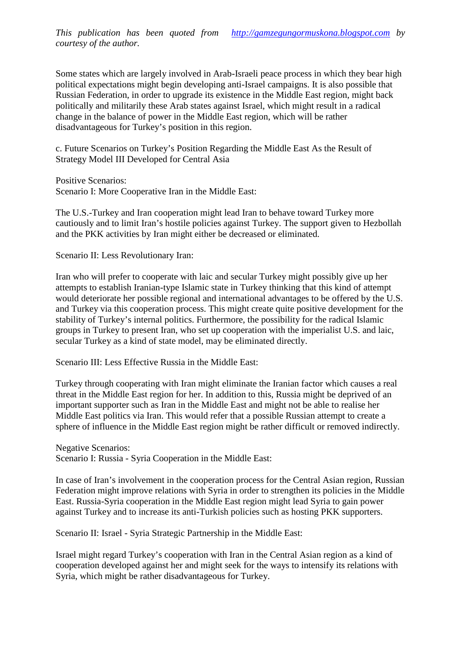This publication has been quoted fro[mhttp://gamzegungormuskona.blogspot.c](http://gamzegungormuskona.blogspot.com)om courtesy of the author.

Some states which are largely involved in Arab ali peace process in which they bear high political expectaions might begin developing antitrael campaigns. It is also possible that Russian Federation, in order to upgrade its existence in the Middle East region, might back politically andmilitarily these Arab states against Israel, which might resultadiaal change in the balance of power in the Middle East region, which will be rather disadvantageous for Turkey, s position in this region.

c. Future Scenarios on Turkey, position Regarding the Middle East As the Result of Strategy Model III Developed f Central Asia

Positive Scenarios:

Scenario I: More Cooperative Iran in the Middle East:

The U.S.-Turkey and Iran cooperation might lead Iran to behave toward Turkey more cautiously and to limit Iran,s hostile policies against Turkey. The support to Meazbollah and the PKK activities by Iran might either be decreased or eliminated.

Scenario II: Less Revolutionary Iran:

Iran who will prefer to cooperate with laic and secular Turkey might possibly give up her attempts to establish Iraniampe Islamic state in Turkey thinking that this kind of attempt would deteriorate her possible regional and international advantages to be offered by the U.S. and Turkey via this cooperation process. This might create quite positive development for the stability of Tukey, internal politics. Furthermore, the possibility for the radical Islamic groups in Turkey to present Iran, who set up cooperation with the milist U.S. and laic, secular Turkey as a kind of state model, may be eliminated directly.

Scenario III: Less Effective Russia in the Middle East:

Turkey through cooperating with Iran might eliminate the Iranian factor which causes a real threat in the Middle East region for her. In addition to this, Russia might be deprived of an important supporter such as in the Middle East and might not be able to realise her Middle East politics via Iran. This would refer that a possible Russian attempt to create a sphere of influence in the Middle East region might be rather difficult or removed indirectly.

Negative Scenarios:

Scenario I: RussiaSyria Cooperation in the Middle East:

In case of Iran, a involvement in the cooperation process for the Central Asian region, Russian Federation might improve relations with Syria in order to strengthen its policies Middle East. Russing yria cooperation in the Middle East region might lead Syria to gain power against Turkey and to increase its antitivish policies such as hosting PKK supporters.

Scenario II: Israel Syria Strategic Partnership in the Middle East:

Israel might regard Turkey, s cooperation with Iran in the Central Asian region as a kind of cooperation developed against her and might seek for the ways to intensify its relations with Syria, which might be rather disadvantageous for Turkey.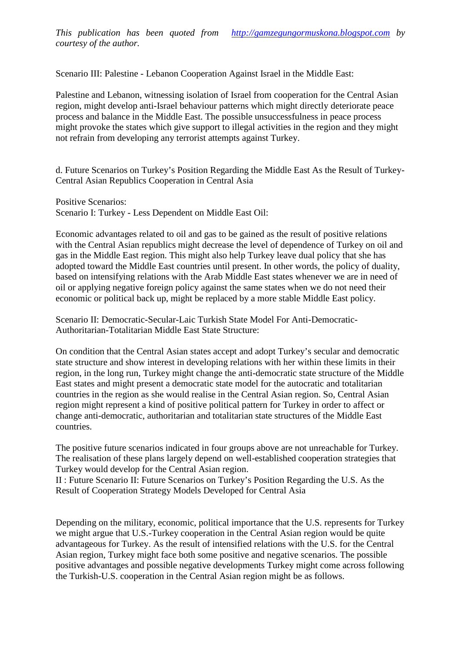Scenario II: Palestine Lebanon Cooperation Against Israel in the Middle East:

Palestine and Lebanon, witnessing isolation of Israel from cooperation for the Central Asian region, might develop antisrael behaviour patterns which might directly rejeriorate peace process and balance in the Middle East. The possible unsuccessfulness in peace process might provoke the states which give support to illegal activities in the region and they might not refrain from developing any terrorist attempts against Turkey.

d. Future Scenarios on Turkey, a Position Regarding the Middle East As the Result of Turkey Central Asian Republics Cooperation in Central Asia

Positive Scenarios:

Scenario I: Turkey Less Dependent on Middle East Oil:

Economic advantages related to oil and to be gained as the result of positive relations with the Central Asian republics might decrease the level of dependence of Turkey on oil and gas in the Middle East region. This might also help Turkey leave dual policy that she has adopted toward the Middel East countries until present. In other words, the policy of duality, based on intensifying relations with the Arab Middle East states whenever we are in need of oil or applying negative foreign policy against the same states when we do not need their economic or political back up, might be replaced by a more stable Middle East policy.

Scenario II: DemocratiSecularLaic Turkish State Model For AntDemocratie Authoritarian-Totalitarian Middle East State Structure:

On condition that the Central Asiatates accept and adopt Turkey's secular and democratic state structure and show interest in developing relations witwithen these limits in their region, in the long run, Turkey might change the **democratic state structure of the Middle** East states and might present a democratic state model for the autocratic and totalitarian countries in the region as she would realise in the Central Asian region. So, Central Asian region might represent a kind of positive political pattern for Turkey in ordaffect or change antidemocratic, authoritarian and totalitarian state structures of the Middle East countries.

The positive future scenarios indicated in four groups above are not unreachable for Turkey. The realisation of these plans largely depend on be atablished cooperation strategies that Turkey would develop for the Central Asian region.

II: Future Scenario II: Future Scenarios on Turkey, a Position Regarding the U.S. As the Result of Cooperation Strategy Models Developed for Central Asia

Depending on the military, economic, political importance that the U.S. represents for Turkey we might argue that U.S. urkey cooperation in the Central Asian region would be quite advantageous for Turkey. As the result of intensified relations with the **dd. Bud** Central Asian region, Turkey might face both some positive and negative scenarios. The possible positive advantages and possible negative developments Turkey might come across following the TurkishU.S. cooperation in the Central Asian region migintas follows.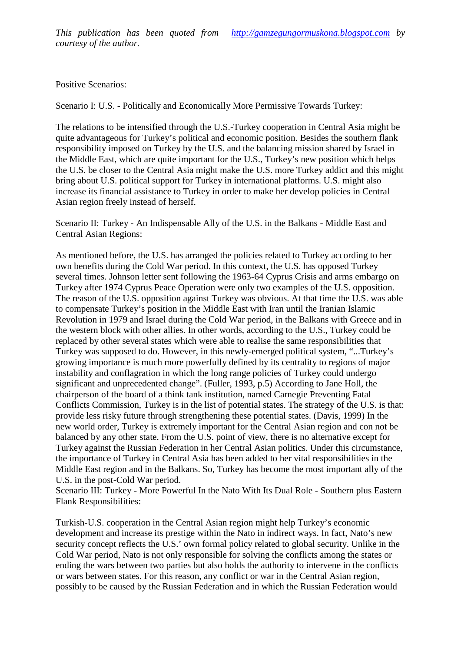This publication has been quoted fro[mhttp://gamzegungormuskona.blogspot.c](http://gamzegungormuskona.blogspot.com)om courtesy of the author.

Positive Scenarios:

Scenario I: U.S. Politically and Economically More Permissive Towards Turkey:

The relations to be intensified through the UTS arkey cooperation in Central Asia might be quite advantageous for Turkey's political and an altionic position. Besides the southern flank responsibility imposed on Turkey by the U.S. and the balancing mission shared by Israel in the Middle East, which are quite important for the U.S., Turkey, a new position which helps the U.S. be closer to the entral Asia might make the U.S. more Turkey addict and this might bring about U.S. political support for Turkey in international platforms. U.S. might also increase its financial assistance to Turkey in order to make her develop policies in Central Asianregion freelyinsteadof herself.

Scenario II: Turkey An Indispensable Ally of the U.S. in the Balkanididdle East and Central Asian Regions:

As mentioned before, the U.S. has arranged the policies related to Turkey according to her own benefits dung the Cold War period. In this context, the U.S. has opposed Turkey several times. Johnson letter sent following the 1546 & yprus Crisis and armeenbargoon Turkey after 1974 Cyprus Peace Operation were only two examples of the U.S. opposition. The resson of the U.S. opposition against Turkey was obvious. At that time the U.S. was able to compensate urkey, s position in the Middle East with Iran until the Iranian Islamic Revolution in 1979 and Israel during the Cold War period, in the Balkans with Ganedon the western block with other allies. In other words, according to the U.S., Turkey could be replaced by other several states which were able to realise the same responsibilities that Turkey was supposed to do. However, in this new herged politial system,  $\epsilon$ ...Turkey, s growing importance is much more powerfully defined by its centrality to regions of major instability and conflagration in which the long range policies of Turkey could undergo significantandunprecedented hange•. (Fuller, 1993).5) According to Jane Holl, the chairperson of the board of a think tank institution, named Carnegie Preventing Fatal Conflicts Commission, Turkey is in the list of potential states. The strategy of the U.S. is that: provide less risky future through stigthening these potential states. (Davis, 1999) In the new world order, Turkey is extremely important for the Central Asian region and con not be balanced by any other state. From the U.S. point of view, there is no alternative except for Turkey against the Russian Federation in her Central Asian politics. Under this circumstance, the importance of Turkey in Central Asia has been added to her vital responsibilities in the Middle East region and in the Balkans. So, Turkey has become the most important ally o U.S. in the posCold War period.

Scenario III: Turkey More Powerful In the Nato With Its Dual Roleouthern plus Eastern Flank Responsibilities:

Turkish-U.S. cooperation in the Central Asian region might help Turkey, seconomic development and ticrease its prestige thin the Nato in indirect ways. In fact, Nato, s new security concept reflects the U.S., own formal policy related to global security. Unlike in the Cold War period, Nato is not only responsible for solving the conflicts among these or ending the wars between two parties but also holds the authority to intervene in the conflicts or wars between states. For this reason, any conflict or war in the Central Asian region, possibly to be caused by the Russian Federation and in which the Federation would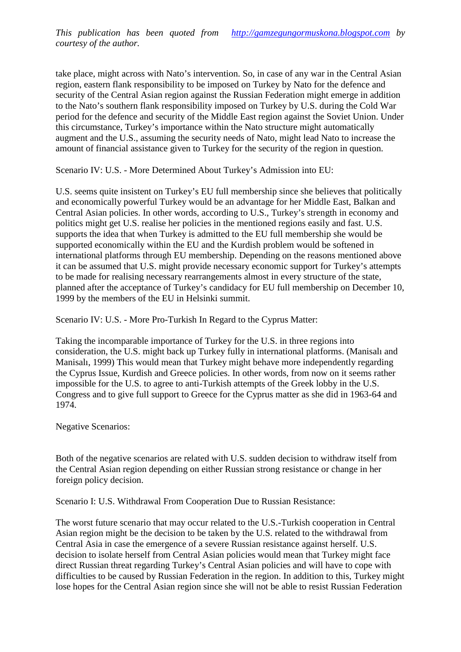take place, mightacrosswith Nato, intervention. So, in case of any war in the Central Asian region, eastern flank responsibility to be imposed on Turkey by Nato for the defence and security of the Central Asian region agaithet Russian Federation might emerge in addition to the Nato, s southern flank responsibility posedon Turkey by U.S. during the Cold War period for the defence and security of the Middle East region against the Soviet Union. Under this circumstance, Tudy, simportance within the Nato structure might automatically augment and the U.S., assuming the security needs of Nato, might lead Nato to increase the amount of financial assistance given to Turkey for the security of the region in question.

Scenario IV U.S.- More Determined About Turkey's Admission into EU:

U.S. seems quite insistent on Turkey, a EU full membership since she believes that politically and economically powerful Turkey would be an advantage for her Middle East, Balkan and Central Asian plicies. In other words, according to U.S., Turkey's strength in economy and politics might get U.S. realise her policies in the mentioned regions easily and fast. U.S. supports the idea that when Turkey is admitted to the EU full membership she would be supported economicall within the EU and the Kurdish problem would be softened in international platforms through EU membership. Depending on the reasons mentioned above it can be assumed that U.S. might provide necessary economic support for Turkey ptsatte to be made for realising necessary rearrangements almost in every structure of the state, planned after the acceptance of Turkey and idacy for EU full membership on December 10, 1999 by the members of the EU in Helsinki summit.

Scenario IV: U.S. More ProTurkish In Regard to the Cyprus Matter:

Taking the incomparable importance of Turkey for the U.S. in three regions into consideration, the U.S. might back up Turkey fully in internatiolatiorms (Manisal, and Manisal, 1999) This would mean tat Turkey might behave more independently regarding the Cyprus Issue, Kurdish and Greece policies. In other words, from now on it seems rather impossible for the U.S. to agree to antirkish attempts of the Greek lobby in the U.S. Congress and to give ful upport to Greece for the Cyprus matter as she did in 64 and 1974.

Negative Scenarios:

Both of the negative scenarios are related with U.S. sudden decision to withdraw itself from the Central Asian region depending on either Russian strong are signified in her foreign policy decision.

Scenario I: U.S. Withdrawal From Cooperation Due to Russian Resistance:

The worst future scenario that may occur related to the Luß ush cooperation in Central Asian region might be the decision to bleeta by the U.S. related to the withdrawal from Central Asia in case the emergence of a severe Russian resistance against herself. U.S. decision to isolate herself from Central Asian policies would mean that Turkey might face direct Russian threat regarding rkey, s Central Asian policies and will have to cope with difficulties to be caused by Russian Federation in the region. In addition to this, Turkey might lose hopes for the Central Asian region since she will not be able to resist Russian Federation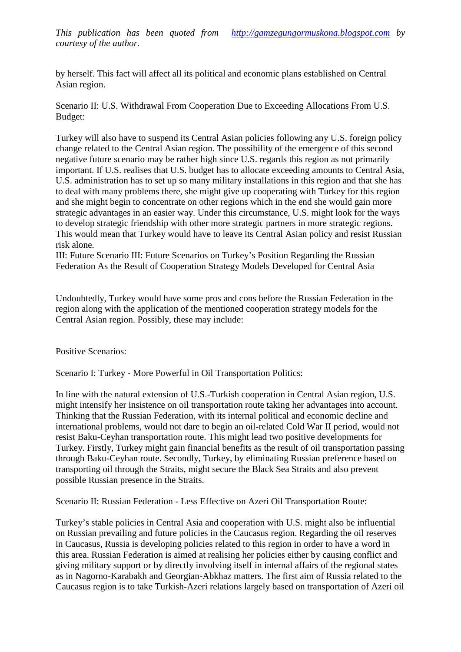by herself. This fact will affect all its political and economic plans established on Central Asian region.

Scenario II: U.S. Withdrawal From Cooperation Due to Exceeding Allocations From U.S. Budget:

Turkey will also have to suspend its Central Asian positiollowing any U.S. foreign policy change related to the entral Asian region. The possibility of the emergence of this second negative future scenario may be rather high since U.S. regards this region as not primarily important. If U.S. realises at U.S. budget has to allocate exceeding amounts to Central Asia, U.S. administration has to set up so many military installations in this region and that she has to deal with many problems there, she might give up cooperating with Turkey for this region and she might begin to concentrate on other regions which in the end she would gain more strategic advantages in an easier way. Under this circumstance, U.S. might look for the ways to develop strategic friendship with other more strategic partners in strategic regions. This would mean that Turkey would have to leave its Central Asian policy and resist Russian risk alone.

III: Future Scenario III: Future Scenarios on Turkey, a Position Regarding the Russian Federation As the Result of Cooperation Strate glodels Developed for Central Asia

Undoubtedly, Turkey would have some pros and cons before the Russian Federation in the region along with the application of the mentioned cooperation strategy models for the Central Asian region. Possibly, these may luide:

Positive Scenarios:

Scenario I: Turkey More Powerful in Oil Transportation Politics:

In line with the natural extension of U-Surkish cooperation in Central Asian region, U.S. might intensify her insistence on oil transportation route taking advantages into account. Thinking that the Russian Federation, with its internal political and economic decline and international problems, would not dare to begin an other dold War II period, would not resist BakuCeyhan transportation routen is might lead two positive developments for Turkey. Firstly, Turkey might gain financial benefits as the result of oil transportation passing through BakuCeyhan route. Secondly, Turkey, by eliminating Russian preference based on transporting oil throughthe Straits, might secure the Black Sea Straits and also prevent possible Russian presence in the Straits.

Scenario II: Russian Federationess Effective on Azeri Oil Transportation Route:

Turkey, s stable policies in Central Asia and cooperation with might also benfluential on Russian prevailing and future policies in the Caucasus region. Regarding the oil reserves in Caucasus, Russia is developing policies related to this region in order to have a word in this area. Russian Federation is aimed alising her policies either by causing conflict and giving military support or by directly involving itself in internal affairs of the regional states as in Nagorno-Karabakh and Georgianbkhaz matters. The first aim of Russia related to the Caucasusegion is to take Turkish-Azeri relations largely based on transportation of Azeri oil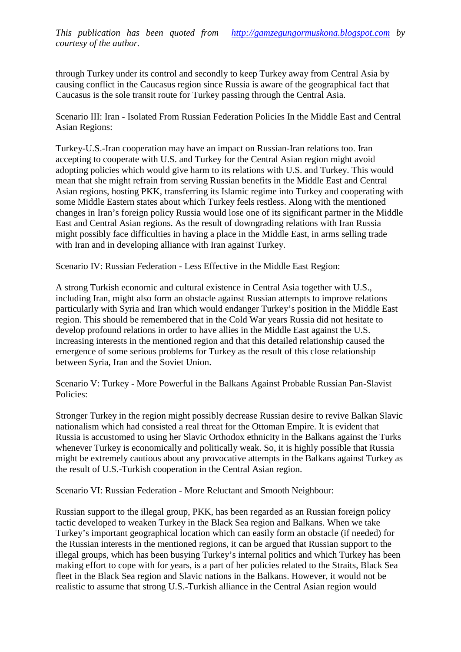through Turkey under its control and secondly to keep Turkey away from Central Asia by causing conflict in the Caucasus region since Russia is aware of the geographical Caucasus is the sole transit route for Turkey passing through the Central Asia.

Scenario III: Iran- Isolated From Russian Federation Policies In the Middle East and Central Asian Regions:

Turkey-U.S.-Iran cooperation may have an impact on Ransisan relations too. Iran accepting to cooperate with U.S. and Turkey for the Central Asian region might avoid adopting policies which would give harm to its relations with U.S. and Turkey. This would mean that she might refrain from serving Russian **ethen's** the Middle East and Central Asian regions, hosting PKK ransferringts Islamic regime into Turkey and cooperating with some Middle Eastern states about which Turkey feels restless. Along with the mentioned changes in Iran,s foreign policy Russiauld lose one of its significant partner in the Middle East and Central Asian regions. As the result of downgrading relations with Iran Russia might possibly face difficulties in having a place in the Middle East, in arms selling trade with Iran and in deeloping alliance with Iran against Turkey.

Scenario IV: Russian Federationess Effective in the Middle East Region:

A strong Turkish economic and cultural existence in Central Asia together with U.S., including Iran, might also form an obstacle againessian attempts to improve relations particularly with Syria and Iran which would endanger Turkey, a position in the Middle East region. This should be remembered that in the Cold War years Russia did not hesitate to develop profound relations in order have allies in the Middle East against the U.S. increasing interests in the mentioned region and that this detailed relationship caused the emergence of some serious problems for Turkey as the result of this close relationship between Syria, Iran and alSoviet Union.

Scenario V: Turkey More Powerful in the Balkans Against Probable Russian Savist Policies:

Stronger Turkey in the region might possibly decrease Russian desire to revive Balkan Slavic nationalism which had consisted a real threathe Ottoman Empire. It is evident that Russia is accustomed to using her Slavic Orthodox ethnicity in the Balkans against the Turks whenever Turkey is economically and politically weak. So, it is highly possible that Russia might be extremely cautious and any provocative attempts in the Balkans against Turkey as the result of U.S.Turkish cooperation in the Central Asian region.

Scenario VI: Russian FederatioMore Reluctant and Smooth Neighbour:

Russian support to the illegal group, PKK, has been and as an Russian foreign policy tactic developed to weaken Turkey in the Black Sea region and Balkans. When we take Turkey's important geographical location which can easily form an obstacle (if needed) for the Russian interests in the mentioned regiot can be argued that Russian support to the illegal groups, which has been busying Turkey, internal politics and which Turkey has been making effort to cope with for years, is a part of her policies related to the Straits, Black Sea fleet in the Blak Sea region and Slavic nations in the Balkans. However, it would not be realistic to assume that strong U. Surkish alliance in the Central Asian region would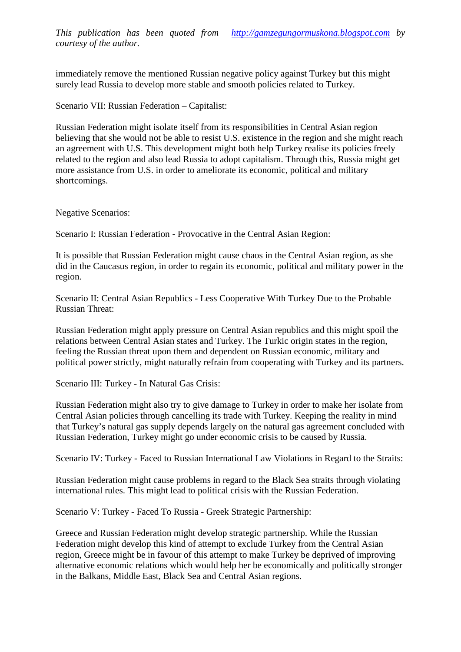This publication has been quoted fro[mhttp://gamzegungormuskona.blogspot.c](http://gamzegungormuskona.blogspot.com)om courtesy of the author.

immediately remove the mentioned Russian negative policy against Turkey but this might surely bad Russia to develop more stable and smooth policies related to Turkey.

Scenario VII: Russian FederationCapitalist:

Russian Federation might isolate itself from its responsibilities in Central Asian region believing that she would not be able to **sesi**. S. existence in the region and she might reach an agreement with U.S. This development might both help Turkey realise its policies freely related to the region and also lead Russia to adopt capitalism. Through this, Russia might get more assistance of U.S. in order to ameliorate ts economic, political and military shortcomings.

Negative Scenarios:

Scenario I: Russian Federatio Provocative in the Central Asian Region:

It is possible that Russian Federation might cause chaos in the Central exploration as she did in the Caucasus region, in order to regain its economic, political and military power in the region.

Scenario II: Central Asian Republicsess Cooperative With Turkey Due to the Probable Russian Threat:

Russian Federation might appliessure on Central Asian republics and this might spoil the relations between Central Asian states and Turkey. The Turkic origin states in the region, feeling the Russian threat upon them and dependent on Russian economic, military and political power trictly, might naturally refrain from cooperating with Turkey and its partners.

Scenario III: Turkey In Natural Gas Crisis:

Russian Federation might also try to give damage to Turkey in order to make her isolate from Central Asian policies through canting its trade with Turkey. Keeping the reality in mind that Turkey, s natural gas supply depends largely on the natural gas agreement concluded with Russian Federation, Turkey might go under economic crisis to be caused by Russia.

Scenario IV: Turkey Faced to Russian International Law Violations in Regard to the Straits:

Russian Federation might cause problems in regard to the Black Sea straits through violating international rules. This might lead to political crisis with the Russian Federation.

Scenario V: Turkey- Faced To RussiaGreek Strategic Partnership:

Greece and Russian Federation might develop strategic partnership. While the Russian Federation might develop this kind of attempt to exclude Turkey from the Central Asian region, Greece mig be in favour of this attempt to make Turkey be deprived of improving alternative economic relations which would help her be economically and politically stronger in the Balkans, Middle East, Black Sea and Central Asian regions.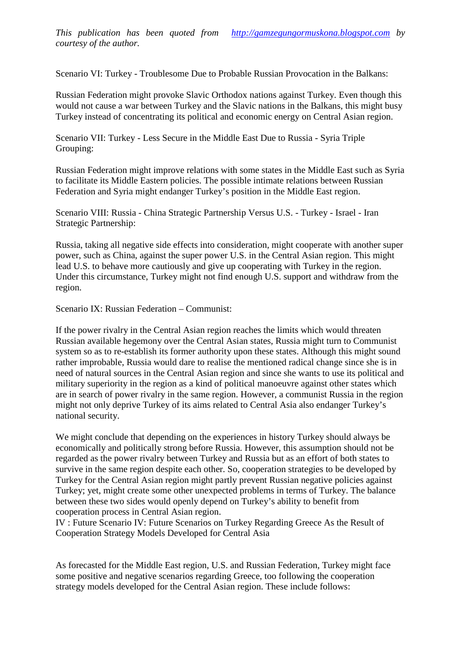Scenario VI: Turkey Troublesome Due to Probable Russian Provocation in the Balkans:

Russian Federation might provoke Slavic Orthodox nations against Turkey. Even though this would not cause a war between Turkey and the Slavic nations in the Balkans, this might busy Turkeyinsteadof concentrating its political and economic energy on Central Asian region.

Scenario VII: Turkey Less Secure in the Middle East Due to RusSaria Triple Grouping:

Russian Federation might improve relations with some states in the Middle Easts Syria to facilitate its Middle Eastern policies. The possible intimate relations between Russian Federation and Syria might endanger Turkey's position in the Middle East region.

Scenario VIII: Russia China Strategic Partnership Versus U. Surkey - Israel- Iran Strategic Partnership:

Russia, taking all negative side effects into consideration, might cooperate with another super power, such as China, against the super power U.S. in the Central Asian region. This might lead U.S. to behave moractiously and give up cooperating with Turkey in the region. Under this circumstance, Turkey might not find enough U.S. support and withdraw from the region.

Scenario IX: Russian FederatiørCommunist:

If the power rivalry in the Central Asian regionaches the limits which would threaten Russian available hegemony over the Central Asian states, Russia might turn to Communist system so as tre-establishits former authority upon these states. Although this might sound rather improbable, Russia would dao realise the mentioned radical change since she is in need of natural sources in the Central Asian region and since she wants to use its political and military superiority in the region as a kind of political moeuvreagainst other states which are insearch of power rivalry in the same region. However, a communist Russia in the region might not only deprive Turkey of its aims related to Central Asia also endanger Turkey, s national security.

We might conclude that depending on the experiences in high to thould always be economically and politically strong before Russia. However, this assumption should not be regarded as the power rivalry between Turkey and Russia but as an effort of both states to survive in the same region despite each other. Superation strategies to be developed by Turkey for the Central Asian region might partly prevent Russian negative policies against Turkey; yet, might create some other unexpected problems in terms of Turkey. The balance between these two sides would be depend on Turkey's ability to benefit from cooperation process in Central Asian region.

IV : Future Scenario IV: Future Scenarios on Turkey Regarding Greece As the Result of Cooperation Strategy Models Developed for Central Asia

As forecasted for the Middle East region, U.S. and Russian Federation, Turkey might face some positive and negative scenarios regarding Greece, too following the cooperation strategy models developed for the Central Asian region. These include follows: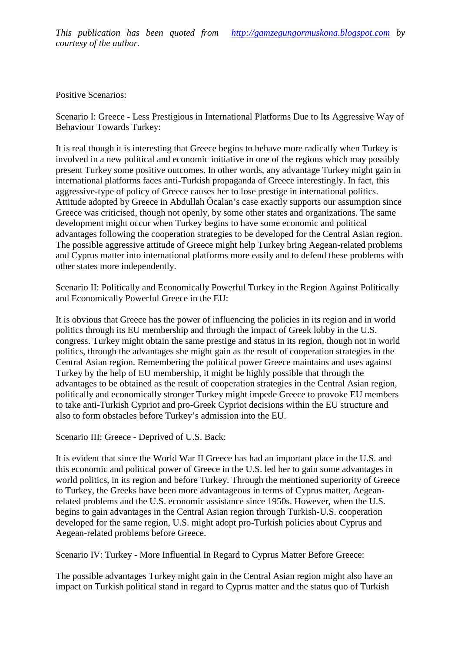Positive Scenarios:

Scenario I: GreeceLess Prestigious in International Platforms Due to Atternsive Way of Behaviour Towards Turkey:

It is real though it is interesting that Greece begins to behave more radically when Turkey is involved in a new political and econominitiative in one of the regions which may possibly present Turkey some positive outcomes. In other words, any advantage Turkey might gain in international platforms faces anti urkish propaganda of Greece interestingly. In fact, this aggressive ype of policy of Greece causes her to lose prestige in international politics. Attitude adopted by Greece in Abdullah ... calan. case exactly supports our assumption since Greece was criticised, though not openly, by some other states and organizations. The same development might occur when Turkey begins to have some economic and political advantages following the cooperation strategies to be developed for the Central Asian region. The possibleaggressiveattitude of Greece might help Turkey bring Aegealated problems and Cyprus matter into international platforms more easily and to defend these problems with other states more independently.

Scenario II: Politically and Economically Powerful Turkey in the Region Against Politically and Economically Powerful Greecethe EU:

It is obvious that Greece has the power of influencing the policies in its region and in world politics through its EU membership and through the impact of Greek lobby in the U.S. congress. Turkey might obtain the same prestige and status equities, though not in world politics, through the advantages she might gain as the result of cooperation strategies in the Central Asian region. Remembering the political power Greece maintains and uses against Turkey by the help of EU membership, it midute highly possible that through the advantages to be obtained as the result of cooperation strategies in the Central Asian region, politically and economically stronger Turkey might impede Greece to provoke EU members to take antiTurkish Cypriot and proGreek Cypriot decision within the EU structure and also to form obstacles before Turkey, s admission into the EU.

Scenario III: GreeceDeprived of U.S. Back:

It is evident that since the World War II Greece has had an important place in the U.S. and this economic and political power of Greece in the U.S. led her to gain some advantages in world politics, in its region and before Turkey. Through the mentioned superiority of Greece to Turkey, the Greeks have been more advantageous in terms of Cypters Areatean related problems and the U.S. economic assistance since 1950s. However, when the U.S. begins to gain advantages in the Central Asian region through Turk **Shoperation** developed for the same region, U.S. might adopflemetish policies abut Cyprus and Aegeanrelated problems before Greece.

Scenario IV: Turkey More Influential In Regard to Cyprus Matter Before Greece:

The possible advantages Turkey might gain in the Central Asian region might also have an impact on Turkish political and in regard to Cyprus matter and the status quo of Turkish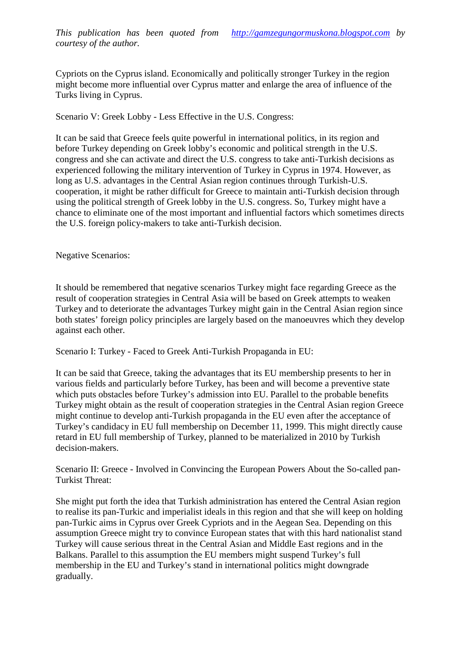Cypriots on the Cyprus island. Economically and politically stronger Turkey in the region might become more influential over Cyprus matter and enlarge the area of influence of the Turks living inCyprus.

Scenario V: Greek LobbyLess Effective in the U.S. Congress:

It can be said that Greece feels quite powerful in international politics, in its region and before Turkey depending on Greek lobby, is economic and political strength in the U.S. congress and she can activate and direct the U.S. congress to taller antish decisions as experienced following the military intervention of Turkey in Cyprus in 1974. However, as long as U.S. advantages in the Central Asian region continues through Turkish cooperation, it might be rather difficult for Greece to maintain batkish decision through using the political strength of Greek lobby in the U.S. congress. So, Turkey might have a chance to eliminate one of the most important and influential fact hich sometimes directs the U.S. foreign policy makers to take antiurkish decision.

Negative Scenarios:

It should be remembered that negative scenarios Turkey might face regarding Greece as the result of cooperation strategies in Central Asia bail based on Greek attempts to weaken Turkey and to detiorate the advantages Turkey might gain in the Central Asian region since both states, foreign policy principles are largely based om the manufactures which they develop againsteach other

Scenario I: Turkey- Faced to Greek AntTurkish Propaganda in EU:

It can be said that Greece, taking the advantages that its EU membership presents to her in various fields and particularly before Turkey, has been and will become a preventive state which puts obstaels before Turkey, a admission into EU. Parallel to the probable benefits Turkey might obtain as the result of cooperation strategies in the Central Asian region Greece might continue to develop antiurkish propaganda in the EU even after the acceptance of Turkey, scandidacyin EU full membership on December 11, 1999. This might directly cause retard in EU full membership of Turkey, planned to be materialized in 2010 by Turkish decisionmakers.

Scenario II: Greece Involved in Convincing the European Powerbout theSo-calledpan-Turkist Threat:

She might put forth the idea that Turkish administration has entered the Central Asian region to realise its parTurkic and imperialist ideals in this region and that she will keep on holding pan-Turkic aims in Cypus over Greek Cypriots and in the Aegean Sea. Depending on this assumption Greece might try to convince European states that with this hard nationalist stand Turkey will cause serious threat in the Central Asian and Middle East regions and in the Balkans.Parallel to this assumption the EU members might suspend Turkey,s full membership in the EU and Turkey, s stand in international politics might downgrade gradually.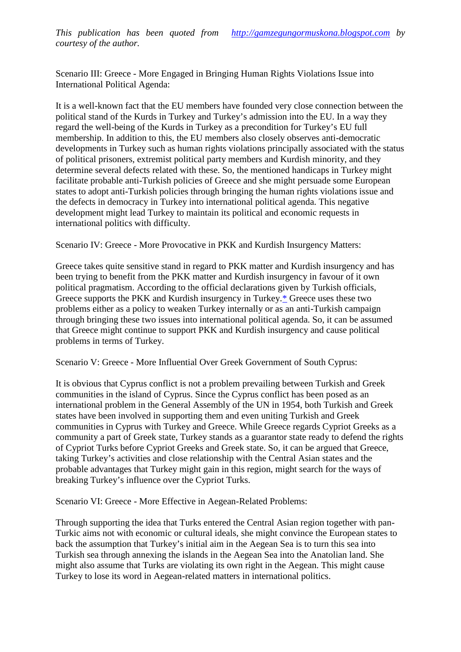Scenario III: GreeceMore Engaged in Bringing Human Rights Violations Issue into International Political Agenda:

It is a well-known fact that the EU members have founded very close connection between the political stand of the Kurds in Turkey and Turkey, admission into the EU. In a way they regard the welbeing of the Kurds in Turkey as precondition for Turkey's EU full membership. In addition to this, the EU members also closely observer anticratic developments in Turkey such as human rights violations principally associated with the status of political prisoners, extremist politic party members and Kurdish minority, and they determine several defects related with these. So, the mentioned handicaps in Turkey might facilitate probable antTurkish policies of Greece and she might persuade some European states to adopt antiurkish policies through bringing the human rights violations issue and the defects in democracy in Turkey into international political agenda. This negative development might lead Turkey to maintain its political and economic requests in international politics wh difficulty.

Scenario IV: GreeceMore Provocative in PKK and Kurdish Insurgency Matters:

Greece takes quite sensitive stand in regard to PKK matter and Kurdish insurgency and has been trying to benefit from the PKK matter and Kurdish insurgency out and it own political pragmatism. According to the official declarations given by Turkish officials, Greece supports the PKK and Kurdish insurgency in Turkeyeece uses these two problems either as a policy to weaken Turkey internally or as an an an anneaign through bringing these two issues into international political agenda. So, it can be assumed that Greece might continue to support PKK and Kardin surgency and cause political problems in terms of Turkey.

Scenario V: GreeceMore Influential Over Greek Government of South Cyprus:

It is obvious that Cyprus conflict is not a problem prevailing between Turkish and Greek communities in the island Cyprus. Since the Cyprus conflict has been posed as an international problem in the General Assembly of the UN in 1954, both Turkish and Greek states have been involved in supporting them and even uniting Turkish and Greek communities in Cyprus with They and Greece. While Greece regards Cypriot Greeks as a community a part of Greek state, Turkey stands as a guarantor state ready to defend the rights of Cypriot Turks before Cypriot Greeks and Greek state. So, it can be argued that Greece, taking Turkeys activities and close relationship with the Central Asian states and the probable advantages that Turkey might gain in this region, might search for the ways of breaking Turkey, sinfluence over the Cypriot Turks.

Scenario VI: GreeceMore Effective inAegeanRelated Problems:

Through supporting the idea that Turks entered the Central Asian region together with pan - Turkic aims not with economic or cultural ideals, she might convince the European states to back the assumption that Turkey, initial aim thing Aegean Sea is to turn this sea into Turkish sea through annexing the islands in the Aegean Sea into the Anatolian land. She might also assume that Turks are violating its own right in the Aegean. This might cause Turkey to lose its word in Aegeanelated matters in international politics.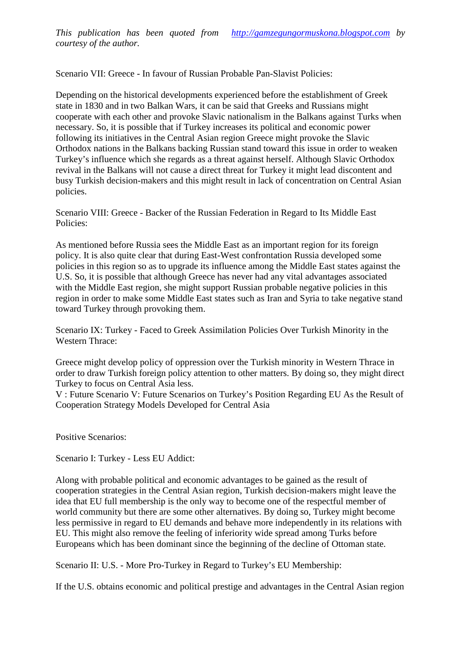Scenario VII: Greece In favour of Russian Probable Patavist Policies:

Depending on the historical developments experienced before the establishment of Greek state in 1830 and in two Balkan Wars, it can be staid Greeks and Russians might cooperate with each other and provoke Slavic nationalism in the Balkans against Turks when necessary. So, it is possible that if Turkey increases its political and economic power following its initiatives in the Central Asianegion Greece might provoke the Slavic Orthodox nations in the Balkans backing Russian stand toward this issue in order to weaken Turkey's influence which she regards as a threat against herself. Although Slavic Orthodox revival in the Balkans will not case a direct threat for Turkey it might lead discontent and busy Turkish decisio makers and this might result in lack of concentration on Central Asian policies.

Scenario VIII: Greece Backer of the Russian Federation in Regard to Its Middle East Policies:

As mentioned before Russia sees the Middle East as an important region for its foreign policy. It is also quite clear that during Eastest confrontation Russia developed some policies in this region so as to upgrade its influence among the Middle Lass against the U.S. So, it is possible that although Greece has never had any vital advantages associated with the Middle East region, she might support Russian probable negative policies in this region in order to make some Middle East states such a and Syria to take negative stand toward Turkey through provoking them.

Scenario IX: Turkey Faced to Greek Assimilation Policies Over Turkish Minority in the Western Thrace:

Greece might develop policy of oppression over the Turkish minority estern Thrace in order to draw Turkish foreign policy attention to other matters. By doing so, they might direct Turkey to focus on Central Asia less.

V: Future Scenario V: Future Scenarios on Turkey, a Position Regarding EU As the Result of Cooperation Sategy Models Developed for Central Asia

Positive Scenarios:

Scenario I: Turkey Less EU Addict:

Along with probable political and economic advantages to be gained as the result of cooperation strategies in the Central Asian region, Turkish decisioners might leave the idea that EU full membership is the only way to become one of the respectful member of world community but there are some other alternatives. By doing so, Turkey might become less permissive in regard to EU demands and behave merceind ently in its relations with EU. This might also remove the feeling of inferiority wide spread among Turks before Europeans which has been dominant since the ingof the decline of Ottoman state.

Scenario II: U.S. More ProTurkey in Regard to Truey, s EU Membership:

If the U.S. obtains economic and political prestige and advantages in the Central Asian region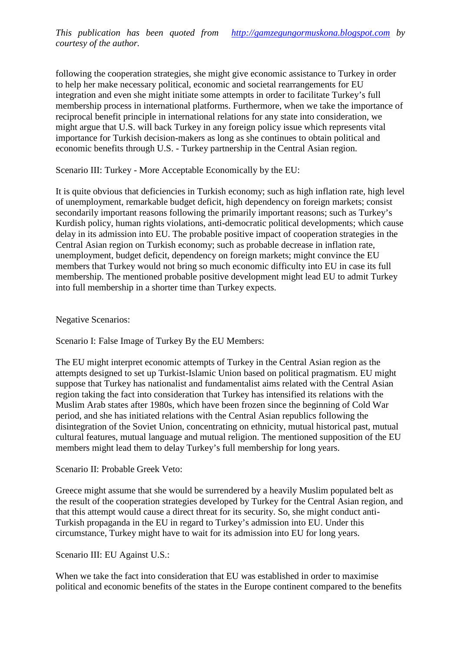following the cooperation strategies, she might give economic assistance to Turkey in order to help her make necessary political, economid societal rearrangements for EU integration and even she might initiate some attempts in order to facilitate Turkey, s full membership process in international platforms. Furthermore, when we take the importance of reciprocal benefit principle in intentional relations for any state into consideration, we might argue that U.S. will back Turkey in any foreign policy issue which represents vital importance for Turkish decisiemakers as long as she continues to obtain political and economic benefits through U.S.- Turkey partnership in the Central Asian region.

Scenario III: Turkey More Acceptable Economically by the EU:

It is quite obvious that deficiencies in Turkish economy; such as high inflation rate, high level of unemployment, remarkable budget ficit, high dependency on foreign markets; consist secondarily important reasons following the primarily important reasons; such as Turkey, s Kurdish policy, human rights violations, and incoratic political developments; which cause delay in its admissin into EU. The probable positive impact of cooperation strategies in the Central Asian region on Turkish economy; such as probable decrease in inflation rate, unemployment, budget deficit, dependency on foreign markets; might convince the EU members that urkey would not bring so much economic difficulty into EU in case its full membership. The mentioned probable positive development might lead EU to admit Turkey into full membership in a shorter time than Turkey expects.

### Negative Scenarios:

Scenario I: False Image of Turkey By the EU Members:

The EU might interpret economic attempts of Turkey in the Central Asian region as the attempts designed to set up Turkistamic Union based on political pragmatism. EU might suppose that Turkey has nationalist a amentalist aims related with the Central Asian region taking the fact into consideration that Turkey has intensified its relations with the Muslim Arab states after 1980s, which have been frozen since the binning Cold War period, and she has fraited relations with the Central Asian republics following the disintegration of the Soviet Union, concentrating on ethnicity, mutual historical past, mutual cultural features, mutual language and mutual religion. The mentioned supposition of the EU membes might lead them to delay Turkey, sfull membership for long years.

### Scenario II: Probable Greeketo:

Greece might assume that she would be surrendered by a heavily Muslim populated belt as the result of the cooperation strategies developed by Tuckety of Central Asian region, and that this attempt would cause a direct threat for its security. So, she might conduct anti Turkish propaganda in the EU in regard to Turkey, admission into EU. Under this circumstance, Turkey might have to wait for its assimon into EU for long years.

### Scenario III: EU Against U.S.:

When we take the fact into consideration that EU was established in order to maximise political and economic benefits of the states in the Europe continent compared to the benefits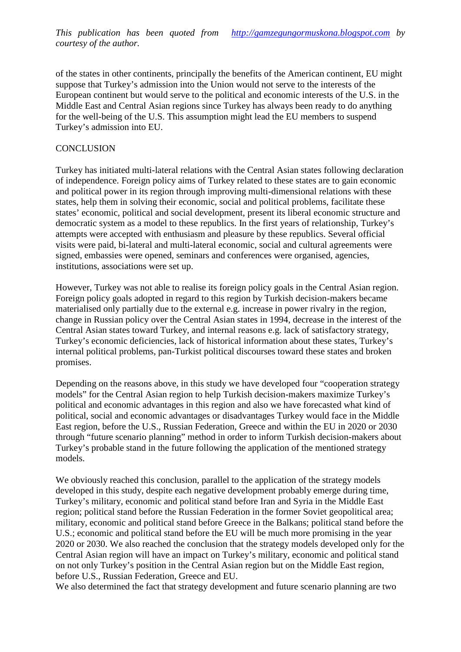of the states in other continents, principally the benefits of the American continent. EU might suppose that Turkey's admission into the Union would not serve to the interests of the European continent but would serve to the political and economic interests osthe the Middle East and Central Asian regions since Turkey has always been ready to do anything for the well-being of the U.S. This assumption might lead the EU members to suspend Turkey, s admission into EU.

## **CONCLUSION**

Turkey has initiated mulliateral relations with the Central Asian states following claration of independence. Foreign policy aims of Turkey related to these states are to gain economic and political power in its region through improving multimensionalrelations with these states, help them in solving their economic, social and political problems, facilitate these states, economic, political and social development, present its liberal economic structure and democratic system as a model to these republics. In the first years **onshipted** Turkey, s attempts were accepted with enthusiasm and pleasure by these republics. Several official visits were paid, blateral and multlateral economic, social and cultural agreements were signed, embassies were opened, seminars and conferences w requised, agencies, institutions, associations were set up.

However, Turkey was not able to realise its foreign policy goals in the Central Asian region. Foreign policy goals adopted in regard to this region by Turkish decisioners became materialsed only partially due to the external e.g. increase in power rivalry in the region, change in Russian policy over the Central Asian states in 1994, decrease in the interest of the Central Asian states toward Turkey, and internal reasons e.g. lack of strategy, Turkey's economic deficiencies, lack of historical information about these states, Turkey's internal political problems, panurkist political discourses toward these states and broken promises.

Depending on the reasons above, in this s we have developed four  $\epsilon$ cooperation strategy models• for the Central Asian region to help Turkish decisinations maximize Turkey, s political and economic advantages in this region and also we have forecasted what kind of political, social and economiadvantages or disadvantages Turkey would face in the Middle East region, before the U.S., Russian Federation, Greece than the EU in 2020 or 2030 through €future scenario planning• method in order to inform Turkish decraisers about Turkey, s pobable stand in the future following the application of the mentioned strategy models.

We obviously reached this conclusion, parallel to the application of the strategy models developed in this study, despite each negative development probably emergetimes Turkey, s military, economic and political stand before Iran and Syria in the Middle East region; political stand before the Russian Federation in the former Soviet geopolitical area; military, economic and political stand before Greece in the Balk political stand before the U.S.; economic and political stand before the EU will be much more promising in the year 2020 or 2030. We also reached the conclusion that the strategy models developed only for the Central Asian region will have an impact  $\delta$ urkey, military, economic and political stand on not only Turkey, s position in the Central Asian region but on the Middle East region, before U.S., Russian Federation, Greece and EU.

We also determined the fact that strategy development and future is quanning are two